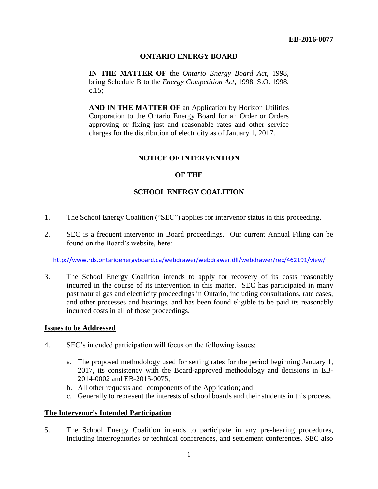# **ONTARIO ENERGY BOARD**

**IN THE MATTER OF** the *Ontario Energy Board Act*, 1998, being Schedule B to the *Energy Competition Act,* 1998, S.O. 1998, c.15;

**AND IN THE MATTER OF** an Application by Horizon Utilities Corporation to the Ontario Energy Board for an Order or Orders approving or fixing just and reasonable rates and other service charges for the distribution of electricity as of January 1, 2017.

## **NOTICE OF INTERVENTION**

### **OF THE**

## **SCHOOL ENERGY COALITION**

- 1. The School Energy Coalition ("SEC") applies for intervenor status in this proceeding.
- 2. SEC is a frequent intervenor in Board proceedings. Our current Annual Filing can be found on the Board's website, here:

<http://www.rds.ontarioenergyboard.ca/webdrawer/webdrawer.dll/webdrawer/rec/462191/view/>

3. The School Energy Coalition intends to apply for recovery of its costs reasonably incurred in the course of its intervention in this matter. SEC has participated in many past natural gas and electricity proceedings in Ontario, including consultations, rate cases, and other processes and hearings, and has been found eligible to be paid its reasonably incurred costs in all of those proceedings.

#### **Issues to be Addressed**

- 4. SEC's intended participation will focus on the following issues:
	- a. The proposed methodology used for setting rates for the period beginning January 1, 2017, its consistency with the Board-approved methodology and decisions in EB-2014-0002 and EB-2015-0075;
	- b. All other requests and components of the Application; and
	- c. Generally to represent the interests of school boards and their students in this process.

### **The Intervenor's Intended Participation**

5. The School Energy Coalition intends to participate in any pre-hearing procedures, including interrogatories or technical conferences, and settlement conferences. SEC also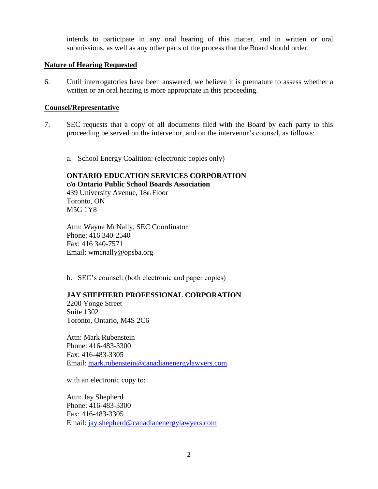intends to participate in any oral hearing of this matter, and in written or oral submissions, as well as any other parts of the process that the Board should order.

### **Nature of Hearing Requested**

6. Until interrogatories have been answered, we believe it is premature to assess whether a written or an oral hearing is more appropriate in this proceeding.

### **Counsel/Representative**

- 7. SEC requests that a copy of all documents filed with the Board by each party to this proceeding be served on the intervenor, and on the intervenor's counsel, as follows:
	- a. School Energy Coalition: (electronic copies only)

## **ONTARIO EDUCATION SERVICES CORPORATION c/o Ontario Public School Boards Association** 439 University Avenue, 18th Floor

Toronto, ON M5G 1Y8

Attn: Wayne McNally, SEC Coordinator Phone: 416 340-2540 Fax: 416 340-7571 Email: wmcnally@opsba.org

b. SEC's counsel: (both electronic and paper copies)

## **JAY SHEPHERD PROFESSIONAL CORPORATION**

2200 Yonge Street Suite 1302 Toronto, Ontario, M4S 2C6

Attn: Mark Rubenstein Phone: 416-483-3300 Fax: 416-483-3305 Email: [mark.rubenstein@canadianenergylawyers.com](mailto:mark.rubenstein@canadianenergylawyers.com)

with an electronic copy to:

Attn: Jay Shepherd Phone: 416-483-3300 Fax: 416-483-3305 Email: [jay.shepherd@canadianenergylawyers.com](mailto:jay.shepherd@canadianenergylawyers.com)